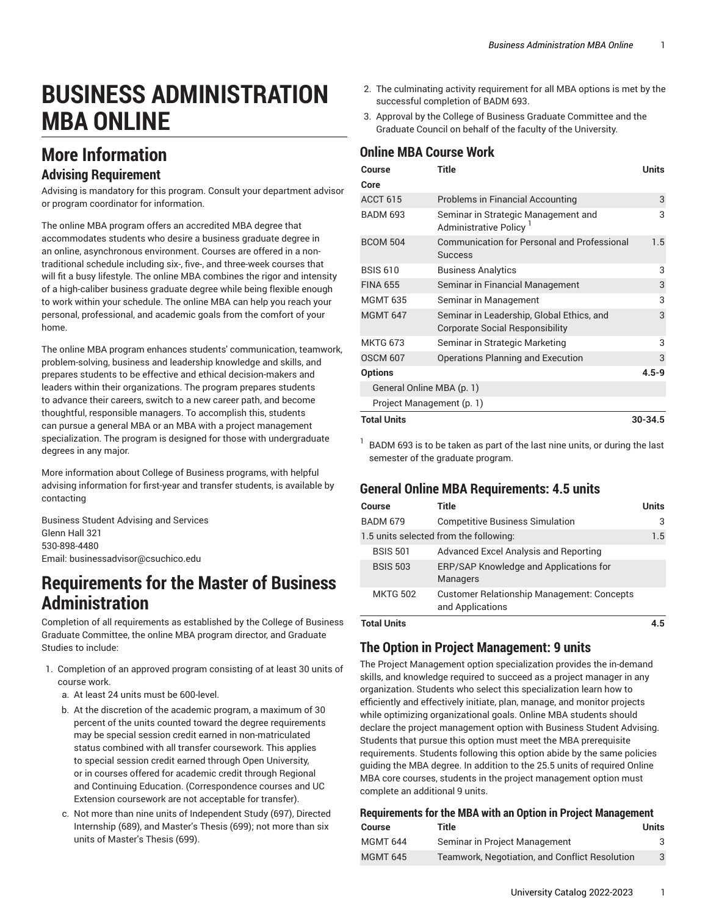# **BUSINESS ADMINISTRATION MBA ONLINE**

# **More Information**

### **Advising Requirement**

Advising is mandatory for this program. Consult your department advisor or program coordinator for information.

The online MBA program offers an accredited MBA degree that accommodates students who desire a business graduate degree in an online, asynchronous environment. Courses are offered in a nontraditional schedule including six-, five-, and three-week courses that will fit a busy lifestyle. The online MBA combines the rigor and intensity of a high-caliber business graduate degree while being flexible enough to work within your schedule. The online MBA can help you reach your personal, professional, and academic goals from the comfort of your home.

The online MBA program enhances students' communication, teamwork, problem-solving, business and leadership knowledge and skills, and prepares students to be effective and ethical decision-makers and leaders within their organizations. The program prepares students to advance their careers, switch to a new career path, and become thoughtful, responsible managers. To accomplish this, students can pursue a general MBA or an MBA with a project management specialization. The program is designed for those with undergraduate degrees in any major.

More information about College of Business programs, with helpful advising information for first-year and transfer students, is available by contacting

Business Student Advising and Services Glenn Hall 321 530-898-4480 Email: [businessadvisor@csuchico.edu](mailto:businessadvisor@csuchico.edu)

### **Requirements for the Master of Business Administration**

Completion of all requirements as established by the College of Business Graduate Committee, the online MBA program director, and Graduate Studies to include:

- 1. Completion of an approved program consisting of at least 30 units of course work.
	- a. At least 24 units must be 600-level.
	- b. At the discretion of the academic program, a maximum of 30 percent of the units counted toward the degree requirements may be special session credit earned in non-matriculated status combined with all transfer coursework. This applies to special session credit earned through Open University, or in courses offered for academic credit through Regional and Continuing Education. (Correspondence courses and UC Extension coursework are not acceptable for transfer).
	- c. Not more than nine units of Independent Study (697), Directed Internship (689), and Master's Thesis (699); not more than six units of Master's Thesis (699).
- 2. The culminating activity requirement for all MBA options is met by the successful completion of BADM 693.
- 3. Approval by the College of Business Graduate Committee and the Graduate Council on behalf of the faculty of the University.

### **Online MBA Course Work**

| Course                    | <b>Title</b>                                                                        | <b>Units</b> |  |
|---------------------------|-------------------------------------------------------------------------------------|--------------|--|
| Core                      |                                                                                     |              |  |
| <b>ACCT 615</b>           | <b>Problems in Financial Accounting</b>                                             | 3            |  |
| <b>BADM 693</b>           | Seminar in Strategic Management and<br>Administrative Policy <sup>1</sup>           | 3            |  |
| <b>BCOM 504</b>           | <b>Communication for Personal and Professional</b><br><b>Success</b>                | 1.5          |  |
| <b>BSIS 610</b>           | <b>Business Analytics</b>                                                           | 3            |  |
| <b>FINA 655</b>           | Seminar in Financial Management                                                     | 3            |  |
| <b>MGMT 635</b>           | Seminar in Management                                                               | 3            |  |
| <b>MGMT 647</b>           | Seminar in Leadership, Global Ethics, and<br><b>Corporate Social Responsibility</b> | 3            |  |
| <b>MKTG 673</b>           | Seminar in Strategic Marketing                                                      | 3            |  |
| <b>OSCM 607</b>           | Operations Planning and Execution                                                   | 3            |  |
| <b>Options</b>            |                                                                                     | $4.5 - 9$    |  |
| General Online MBA (p. 1) |                                                                                     |              |  |
| Project Management (p. 1) |                                                                                     |              |  |
| <b>Total Units</b>        |                                                                                     | $30 - 34.5$  |  |

 $^1$  BADM 693 is to be taken as part of the last nine units, or during the last semester of the graduate program.

### <span id="page-0-0"></span>**General Online MBA Requirements: 4.5 units**

| Course          | Title                                                                 | Units |
|-----------------|-----------------------------------------------------------------------|-------|
| <b>BADM 679</b> | <b>Competitive Business Simulation</b>                                | 3     |
|                 | 1.5 units selected from the following:                                | 1.5   |
| <b>BSIS 501</b> | Advanced Excel Analysis and Reporting                                 |       |
| <b>BSIS 503</b> | ERP/SAP Knowledge and Applications for<br><b>Managers</b>             |       |
| <b>MKTG 502</b> | <b>Customer Relationship Management: Concepts</b><br>and Applications |       |

<span id="page-0-1"></span>**Total Units 4.5**

### **The Option in Project Management: 9 units**

The Project Management option specialization provides the in-demand skills, and knowledge required to succeed as a project manager in any organization. Students who select this specialization learn how to efficiently and effectively initiate, plan, manage, and monitor projects while optimizing organizational goals. Online MBA students should declare the project management option with Business Student Advising. Students that pursue this option must meet the MBA prerequisite requirements. Students following this option abide by the same policies guiding the MBA degree. In addition to the 25.5 units of required Online MBA core courses, students in the project management option must complete an additional 9 units.

| <b>Requirements for the MBA with an Option in Project Management</b> |                                                |       |  |
|----------------------------------------------------------------------|------------------------------------------------|-------|--|
| <b>Course</b>                                                        | Title                                          | Units |  |
| <b>MGMT 644</b>                                                      | Seminar in Project Management                  | 3     |  |
| <b>MGMT 645</b>                                                      | Teamwork, Negotiation, and Conflict Resolution | 3     |  |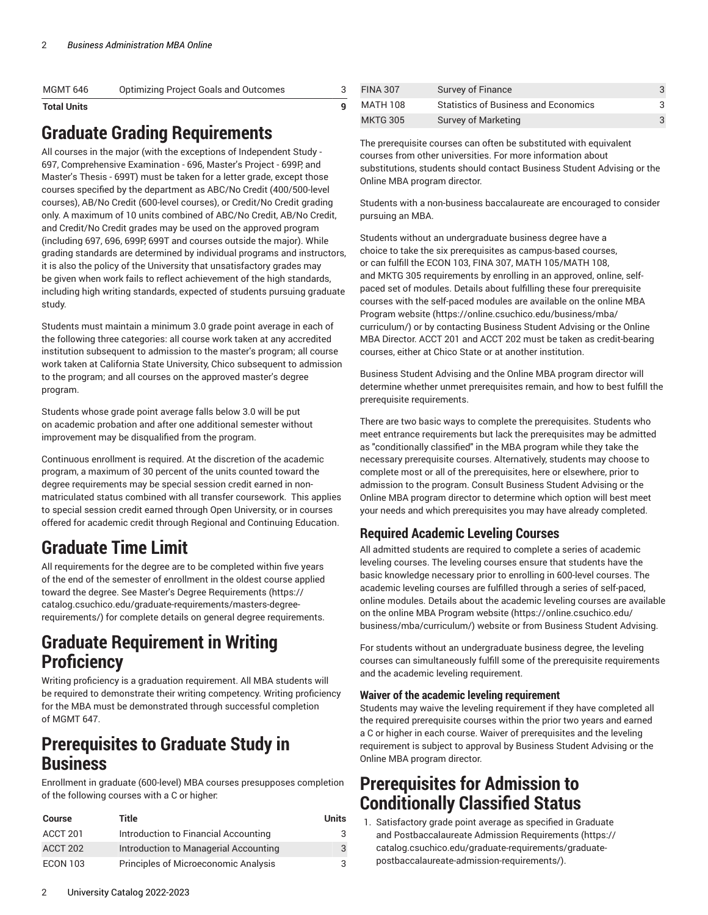| <b>Optimizing Project Goals and Outcomes</b><br>MGMT 646 |  |
|----------------------------------------------------------|--|

# **Graduate Grading Requirements**

All courses in the major (with the exceptions of Independent Study - 697, Comprehensive Examination - 696, Master's Project - 699P, and Master's Thesis - 699T) must be taken for a letter grade, except those courses specified by the department as ABC/No Credit (400/500-level courses), AB/No Credit (600-level courses), or Credit/No Credit grading only. A maximum of 10 units combined of ABC/No Credit, AB/No Credit, and Credit/No Credit grades may be used on the approved program (including 697, 696, 699P, 699T and courses outside the major). While grading standards are determined by individual programs and instructors, it is also the policy of the University that unsatisfactory grades may be given when work fails to reflect achievement of the high standards, including high writing standards, expected of students pursuing graduate study.

Students must maintain a minimum 3.0 grade point average in each of the following three categories: all course work taken at any accredited institution subsequent to admission to the master's program; all course work taken at California State University, Chico subsequent to admission to the program; and all courses on the approved master's degree program.

Students whose grade point average falls below 3.0 will be put on academic probation and after one additional semester without improvement may be disqualified from the program.

Continuous enrollment is required. At the discretion of the academic program, a maximum of 30 percent of the units counted toward the degree requirements may be special session credit earned in nonmatriculated status combined with all transfer coursework. This applies to special session credit earned through Open University, or in courses offered for academic credit through Regional and Continuing Education.

# **Graduate Time Limit**

All requirements for the degree are to be completed within five years of the end of the semester of enrollment in the oldest course applied toward the degree. See Master's Degree [Requirements \(https://](https://catalog.csuchico.edu/graduate-requirements/masters-degree-requirements/) [catalog.csuchico.edu/graduate-requirements/masters-degree](https://catalog.csuchico.edu/graduate-requirements/masters-degree-requirements/)[requirements/\)](https://catalog.csuchico.edu/graduate-requirements/masters-degree-requirements/) for complete details on general degree requirements.

## **Graduate Requirement in Writing Proficiency**

Writing proficiency is a graduation requirement. All MBA students will be required to demonstrate their writing competency. Writing proficiency for the MBA must be demonstrated through successful completion of MGMT 647.

## **Prerequisites to Graduate Study in Business**

Enrollment in graduate (600-level) MBA courses presupposes completion of the following courses with a C or higher:

| <b>Course</b>   | Title                                 | Units |
|-----------------|---------------------------------------|-------|
| ACCT 201        | Introduction to Financial Accounting  | 3     |
| ACCT 202        | Introduction to Managerial Accounting | 3     |
| <b>ECON 103</b> | Principles of Microeconomic Analysis  | 3     |

| <b>FINA 307</b> | Survey of Finance                           |  |
|-----------------|---------------------------------------------|--|
| MATH 108        | <b>Statistics of Business and Economics</b> |  |
| <b>MKTG 305</b> | Survey of Marketing                         |  |

The prerequisite courses can often be substituted with equivalent courses from other universities. For more information about substitutions, students should contact Business Student Advising or the Online MBA program director.

Students with a non-business baccalaureate are encouraged to consider pursuing an MBA.

Students without an undergraduate business degree have a choice to take the six prerequisites as campus-based courses, or can fulfill the ECON 103, FINA 307, MATH 105/MATH 108, and MKTG 305 requirements by enrolling in an approved, online, selfpaced set of modules. Details about fulfilling these four prerequisite courses with the self-paced modules are available on the [online MBA](https://online.csuchico.edu/business/mba/curriculum/) [Program](https://online.csuchico.edu/business/mba/curriculum/) website ([https://online.csuchico.edu/business/mba/](https://online.csuchico.edu/business/mba/curriculum/) [curriculum/](https://online.csuchico.edu/business/mba/curriculum/)) or by contacting Business Student Advising or the Online MBA Director. ACCT 201 and ACCT 202 must be taken as credit-bearing courses, either at Chico State or at another institution.

Business Student Advising and the Online MBA program director will determine whether unmet prerequisites remain, and how to best fulfill the prerequisite requirements.

There are two basic ways to complete the prerequisites. Students who meet entrance requirements but lack the prerequisites may be admitted as "conditionally classified" in the MBA program while they take the necessary prerequisite courses. Alternatively, students may choose to complete most or all of the prerequisites, here or elsewhere, prior to admission to the program. Consult Business Student Advising or the Online MBA program director to determine which option will best meet your needs and which prerequisites you may have already completed.

### **Required Academic Leveling Courses**

All admitted students are required to complete a series of academic leveling courses. The leveling courses ensure that students have the basic knowledge necessary prior to enrolling in 600-level courses. The academic leveling courses are fulfilled through a series of self-paced, online modules. Details about the academic leveling courses are available on the online MBA [Program](https://online.csuchico.edu/business/mba/curriculum/) website ([https://online.csuchico.edu/](https://online.csuchico.edu/business/mba/curriculum/) [business/mba/curriculum/](https://online.csuchico.edu/business/mba/curriculum/)) website or from Business Student Advising.

For students without an undergraduate business degree, the leveling courses can simultaneously fulfill some of the prerequisite requirements and the academic leveling requirement.

#### **Waiver of the academic leveling requirement**

Students may waive the leveling requirement if they have completed all the required prerequisite courses within the prior two years and earned a C or higher in each course. Waiver of prerequisites and the leveling requirement is subject to approval by Business Student Advising or the Online MBA program director.

## **Prerequisites for Admission to Conditionally Classified Status**

1. Satisfactory grade point average as specified in [Graduate](https://catalog.csuchico.edu/graduate-requirements/graduate-postbaccalaureate-admission-requirements/) and [Postbaccalaureate](https://catalog.csuchico.edu/graduate-requirements/graduate-postbaccalaureate-admission-requirements/) Admission Requirements [\(https://](https://catalog.csuchico.edu/graduate-requirements/graduate-postbaccalaureate-admission-requirements/) [catalog.csuchico.edu/graduate-requirements/graduate](https://catalog.csuchico.edu/graduate-requirements/graduate-postbaccalaureate-admission-requirements/)[postbaccalaureate-admission-requirements/](https://catalog.csuchico.edu/graduate-requirements/graduate-postbaccalaureate-admission-requirements/)).